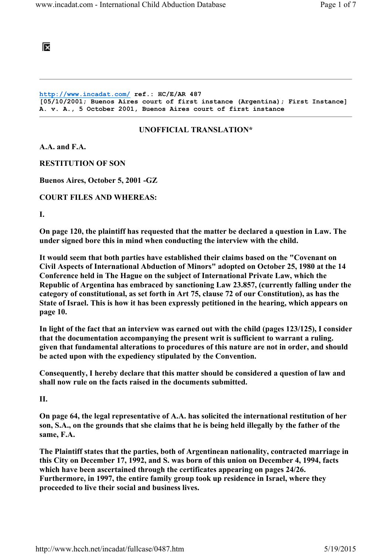阪

http://www.incadat.com/ ref.: HC/E/AR 487 [05/10/2001; Buenos Aires court of first instance (Argentina); First Instance] A. v. A., 5 October 2001, Buenos Aires court of first instance

## UNOFFICIAL TRANSLATION\*

A.A. and F.A.

RESTITUTION OF SON

Buenos Aires, October 5, 2001 -GZ

COURT FILES AND WHEREAS:

I.

On page 120, the plaintiff has requested that the matter be declared a question in Law. The under signed bore this in mind when conducting the interview with the child.

It would seem that both parties have established their claims based on the "Covenant on Civil Aspects of International Abduction of Minors" adopted on October 25, 1980 at the 14 Conference held in The Hague on the subject of International Private Law, which the Republic of Argentina has embraced by sanctioning Law 23.857, (currently falling under the category of constitutional, as set forth in Art 75, clause 72 of our Constitution), as has the State of Israel. This is how it has been expressly petitioned in the hearing, which appears on page 10.

In light of the fact that an interview was earned out with the child (pages 123/125), I consider that the documentation accompanying the present writ is sufficient to warrant a ruling. given that fundamental alterations to procedures of this nature are not in order, and should be acted upon with the expediency stipulated by the Convention.

Consequently, I hereby declare that this matter should be considered a question of law and shall now rule on the facts raised in the documents submitted.

II.

On page 64, the legal representative of A.A. has solicited the international restitution of her son, S.A., on the grounds that she claims that he is being held illegally by the father of the same, F.A.

The Plaintiff states that the parties, both of Argentinean nationality, contracted marriage in this City on December 17, 1992, and S. was born of this union on December 4, 1994, facts which have been ascertained through the certificates appearing on pages 24/26. Furthermore, in 1997, the entire family group took up residence in Israel, where they proceeded to live their social and business lives.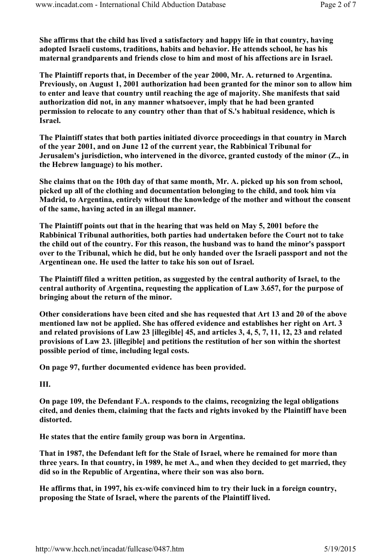She affirms that the child has lived a satisfactory and happy life in that country, having adopted Israeli customs, traditions, habits and behavior. He attends school, he has his maternal grandparents and friends close to him and most of his affections are in Israel.

The Plaintiff reports that, in December of the year 2000, Mr. A. returned to Argentina. Previously, on August 1, 2001 authorization had been granted for the minor son to allow him to enter and leave that country until reaching the age of majority. She manifests that said authorization did not, in any manner whatsoever, imply that he had been granted permission to relocate to any country other than that of S.'s habitual residence, which is Israel.

The Plaintiff states that both parties initiated divorce proceedings in that country in March of the year 2001, and on June 12 of the current year, the Rabbinical Tribunal for Jerusalem's jurisdiction, who intervened in the divorce, granted custody of the minor (Z., in the Hebrew language) to his mother.

She claims that on the 10th day of that same month, Mr. A. picked up his son from school, picked up all of the clothing and documentation belonging to the child, and took him via Madrid, to Argentina, entirely without the knowledge of the mother and without the consent of the same, having acted in an illegal manner.

The Plaintiff points out that in the hearing that was held on May 5, 2001 before the Rabbinical Tribunal authorities, both parties had undertaken before the Court not to take the child out of the country. For this reason, the husband was to hand the minor's passport over to the Tribunal, which he did, but he only handed over the Israeli passport and not the Argentinean one. He used the latter to take his son out of Israel.

The Plaintiff filed a written petition, as suggested by the central authority of Israel, to the central authority of Argentina, requesting the application of Law 3.657, for the purpose of bringing about the return of the minor.

Other considerations have been cited and she has requested that Art 13 and 20 of the above mentioned law not be applied. She has offered evidence and establishes her right on Art. 3 and related provisions of Law 23 [illegible] 45, and articles 3, 4, 5, 7, 11, 12, 23 and related provisions of Law 23. [illegible] and petitions the restitution of her son within the shortest possible period of time, including legal costs.

On page 97, further documented evidence has been provided.

III.

On page 109, the Defendant F.A. responds to the claims, recognizing the legal obligations cited, and denies them, claiming that the facts and rights invoked by the Plaintiff have been distorted.

He states that the entire family group was born in Argentina.

That in 1987, the Defendant left for the Stale of Israel, where he remained for more than three years. In that country, in 1989, he met A., and when they decided to get married, they did so in the Republic of Argentina, where their son was also born.

He affirms that, in 1997, his ex-wife convinced him to try their luck in a foreign country, proposing the State of Israel, where the parents of the Plaintiff lived.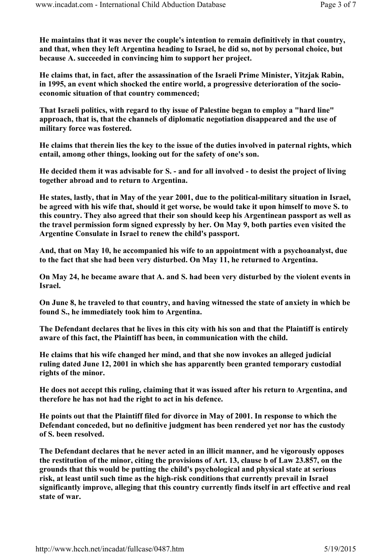He maintains that it was never the couple's intention to remain definitively in that country, and that, when they left Argentina heading to Israel, he did so, not by personal choice, but because A. succeeded in convincing him to support her project.

He claims that, in fact, after the assassination of the Israeli Prime Minister, Yitzjak Rabin, in 1995, an event which shocked the entire world, a progressive deterioration of the socioeconomic situation of that country commenced;

That Israeli politics, with regard to thy issue of Palestine began to employ a "hard line" approach, that is, that the channels of diplomatic negotiation disappeared and the use of military force was fostered.

He claims that therein lies the key to the issue of the duties involved in paternal rights, which entail, among other things, looking out for the safety of one's son.

He decided them it was advisable for S. - and for all involved - to desist the project of living together abroad and to return to Argentina.

He states, lastly, that in May of the year 2001, due to the political-military situation in Israel, be agreed with his wife that, should it get worse, be would take it upon himself to move S. to this country. They also agreed that their son should keep his Argentinean passport as well as the travel permission form signed expressly by her. On May 9, both parties even visited the Argentine Consulate in Israel to renew the child's passport.

And, that on May 10, he accompanied his wife to an appointment with a psychoanalyst, due to the fact that she had been very disturbed. On May 11, he returned to Argentina.

On May 24, he became aware that A. and S. had been very disturbed by the violent events in Israel.

On June 8, he traveled to that country, and having witnessed the state of anxiety in which be found S., he immediately took him to Argentina.

The Defendant declares that he lives in this city with his son and that the Plaintiff is entirely aware of this fact, the Plaintiff has been, in communication with the child.

He claims that his wife changed her mind, and that she now invokes an alleged judicial ruling dated June 12, 2001 in which she has apparently been granted temporary custodial rights of the minor.

He does not accept this ruling, claiming that it was issued after his return to Argentina, and therefore he has not had the right to act in his defence.

He points out that the Plaintiff filed for divorce in May of 2001. In response to which the Defendant conceded, but no definitive judgment has been rendered yet nor has the custody of S. been resolved.

The Defendant declares that he never acted in an illicit manner, and he vigorously opposes the restitution of the minor, citing the provisions of Art. 13, clause b of Law 23.857, on the grounds that this would be putting the child's psychological and physical state at serious risk, at least until such time as the high-risk conditions that currently prevail in Israel significantly improve, alleging that this country currently finds itself in art effective and real state of war.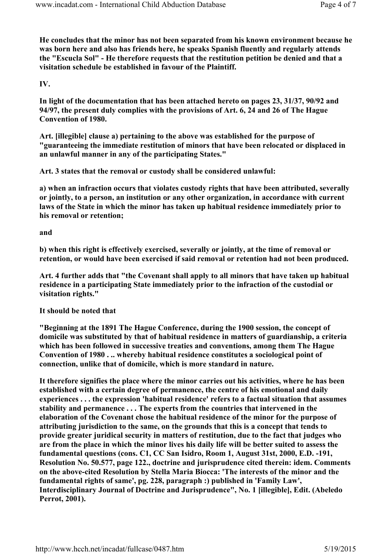He concludes that the minor has not been separated from his known environment because he was born here and also has friends here, he speaks Spanish fluently and regularly attends the "Escucla Sol" - He therefore requests that the restitution petition be denied and that a visitation schedule be established in favour of the Plaintiff.

IV.

In light of the documentation that has been attached hereto on pages 23, 31/37, 90/92 and 94/97, the present duly complies with the provisions of Art. 6, 24 and 26 of The Hague Convention of 1980.

Art. [illegible] clause a) pertaining to the above was established for the purpose of "guaranteeing the immediate restitution of minors that have been relocated or displaced in an unlawful manner in any of the participating States."

Art. 3 states that the removal or custody shall be considered unlawful:

a) when an infraction occurs that violates custody rights that have been attributed, severally or jointly, to a person, an institution or any other organization, in accordance with current laws of the State in which the minor has taken up habitual residence immediately prior to his removal or retention;

## and

b) when this right is effectively exercised, severally or jointly, at the time of removal or retention, or would have been exercised if said removal or retention had not been produced.

Art. 4 further adds that "the Covenant shall apply to all minors that have taken up habitual residence in a participating State immediately prior to the infraction of the custodial or visitation rights."

## It should be noted that

"Beginning at the 1891 The Hague Conference, during the 1900 session, the concept of domicile was substituted by that of habitual residence in matters of guardianship, a criteria which has been followed in successive treaties and conventions, among them The Hague Convention of 1980 . .. whereby habitual residence constitutes a sociological point of connection, unlike that of domicile, which is more standard in nature.

It therefore signifies the place where the minor carries out his activities, where he has been established with a certain degree of permanence, the centre of his emotional and daily experiences . . . the expression 'habitual residence' refers to a factual situation that assumes stability and permanence . . . The experts from the countries that intervened in the elaboration of the Covenant chose the habitual residence of the minor for the purpose of attributing jurisdiction to the same, on the grounds that this is a concept that tends to provide greater juridical security in matters of restitution, due to the fact that judges who are from the place in which the minor lives his daily life will be better suited to assess the fundamental questions (cons. C1, CC San Isidro, Room 1, August 31st, 2000, E.D. -191, Resolution No. 50.577, page 122., doctrine and jurisprudence cited therein: idem. Comments on the above-cited Resolution by Stella Maria Biocca: 'The interests of the minor and the fundamental rights of same', pg. 228, paragraph :) published in 'Family Law', Interdisciplinary Journal of Doctrine and Jurisprudence", No. 1 [illegible], Edit. (Abeledo Perrot, 2001).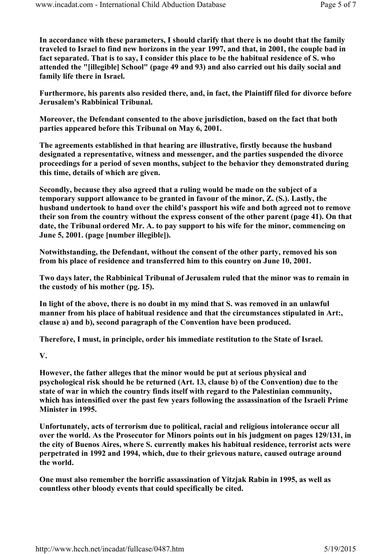In accordance with these parameters, I should clarify that there is no doubt that the family traveled to Israel to find new horizons in the year 1997, and that, in 2001, the couple bad in fact separated. That is to say, I consider this place to be the habitual residence of S. who attended the "[illegible] School" (page 49 and 93) and also carried out his daily social and family life there in Israel.

Furthermore, his parents also resided there, and, in fact, the Plaintiff filed for divorce before Jerusalem's Rabbinical Tribunal.

Moreover, the Defendant consented to the above jurisdiction, based on the fact that both parties appeared before this Tribunal on May 6, 2001.

The agreements established in that hearing are illustrative, firstly because the husband designated a representative, witness and messenger, and the parties suspended the divorce proceedings for a period of seven months, subject to the behavior they demonstrated during this time, details of which are given.

Secondly, because they also agreed that a ruling would be made on the subject of a temporary support allowance to be granted in favour of the minor, Z. (S.). Lastly, the husband undertook to hand over the child's passport his wife and both agreed not to remove their son from the country without the express consent of the other parent (page 41). On that date, the Tribunal ordered Mr. A. to pay support to his wife for the minor, commencing on June 5, 2001. (page [number illegible]).

Notwithstanding, the Defendant, without the consent of the other party, removed his son from his place of residence and transferred him to this country on June 10, 2001.

Two days later, the Rabbinical Tribunal of Jerusalem ruled that the minor was to remain in the custody of his mother (pg. 15).

In light of the above, there is no doubt in my mind that S. was removed in an unlawful manner from his place of habitual residence and that the circumstances stipulated in Art:, clause a) and b), second paragraph of the Convention have been produced.

Therefore, I must, in principle, order his immediate restitution to the State of Israel.

V.

However, the father alleges that the minor would be put at serious physical and psychological risk should he be returned (Art. 13, clause b) of the Convention) due to the state of war in which the country finds itself with regard to the Palestinian community, which has intensified over the past few years following the assassination of the Israeli Prime Minister in 1995.

Unfortunately, acts of terrorism due to political, racial and religious intolerance occur all over the world. As the Prosecutor for Minors points out in his judgment on pages 129/131, in the city of Buenos Aires, where S. currently makes his habitual residence, terrorist acts were perpetrated in 1992 and 1994, which, due to their grievous nature, caused outrage around the world.

One must also remember the horrific assassination of Yitzjak Rabin in 1995, as well as countless other bloody events that could specifically be cited.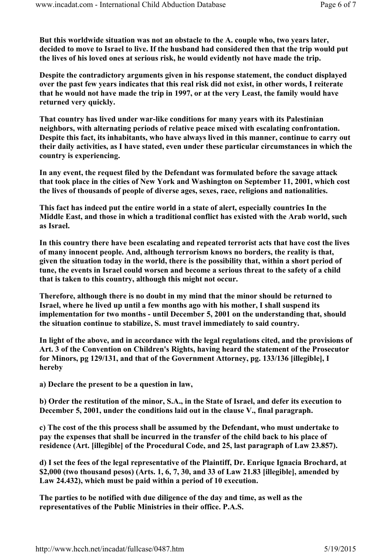But this worldwide situation was not an obstacle to the A. couple who, two years later, decided to move to Israel to live. If the husband had considered then that the trip would put the lives of his loved ones at serious risk, he would evidently not have made the trip.

Despite the contradictory arguments given in his response statement, the conduct displayed over the past few years indicates that this real risk did not exist, in other words, I reiterate that he would not have made the trip in 1997, or at the very Least, the family would have returned very quickly.

That country has lived under war-like conditions for many years with its Palestinian neighbors, with alternating periods of relative peace mixed with escalating confrontation. Despite this fact, its inhabitants, who have always lived in this manner, continue to carry out their daily activities, as I have stated, even under these particular circumstances in which the country is experiencing.

In any event, the request filed by the Defendant was formulated before the savage attack that took place in the cities of New York and Washington on September 11, 2001, which cost the lives of thousands of people of diverse ages, sexes, race, religions and nationalities.

This fact has indeed put the entire world in a state of alert, especially countries In the Middle East, and those in which a traditional conflict has existed with the Arab world, such as Israel.

In this country there have been escalating and repeated terrorist acts that have cost the lives of many innocent people. And, although terrorism knows no borders, the reality is that, given the situation today in the world, there is the possibility that, within a short period of tune, the events in Israel could worsen and become a serious threat to the safety of a child that is taken to this country, although this might not occur.

Therefore, although there is no doubt in my mind that the minor should be returned to Israel, where he lived up until a few months ago with his mother, I shall suspend its implementation for two months - until December 5, 2001 on the understanding that, should the situation continue to stabilize, S. must travel immediately to said country.

In light of the above, and in accordance with the legal regulations cited, and the provisions of Art. 3 of the Convention on Children's Rights, having heard the statement of the Prosecutor for Minors, pg 129/131, and that of the Government Attorney, pg. 133/136 [illegible], I hereby

a) Declare the present to be a question in law,

b) Order the restitution of the minor, S.A., in the State of Israel, and defer its execution to December 5, 2001, under the conditions laid out in the clause V., final paragraph.

c) The cost of the this process shall be assumed by the Defendant, who must undertake to pay the expenses that shall be incurred in the transfer of the child back to his place of residence (Art. [illegible] of the Procedural Code, and 25, last paragraph of Law 23.857).

d) I set the fees of the legal representative of the Plaintiff, Dr. Enrique Ignacia Brochard, at \$2,000 (two thousand pesos) (Arts. 1, 6, 7, 30, and 33 of Law 21.83 [illegible], amended by Law 24.432), which must be paid within a period of 10 execution.

The parties to be notified with due diligence of the day and time, as well as the representatives of the Public Ministries in their office. P.A.S.